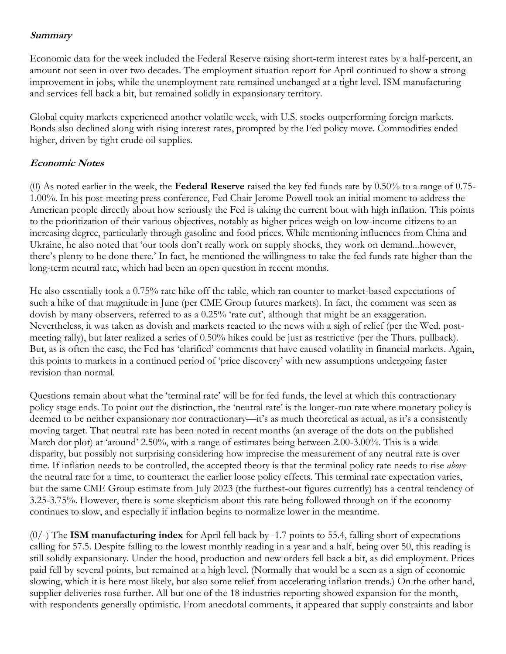## **Summary**

Economic data for the week included the Federal Reserve raising short-term interest rates by a half-percent, an amount not seen in over two decades. The employment situation report for April continued to show a strong improvement in jobs, while the unemployment rate remained unchanged at a tight level. ISM manufacturing and services fell back a bit, but remained solidly in expansionary territory.

Global equity markets experienced another volatile week, with U.S. stocks outperforming foreign markets. Bonds also declined along with rising interest rates, prompted by the Fed policy move. Commodities ended higher, driven by tight crude oil supplies.

## **Economic Notes**

(0) As noted earlier in the week, the **Federal Reserve** raised the key fed funds rate by 0.50% to a range of 0.75- 1.00%. In his post-meeting press conference, Fed Chair Jerome Powell took an initial moment to address the American people directly about how seriously the Fed is taking the current bout with high inflation. This points to the prioritization of their various objectives, notably as higher prices weigh on low-income citizens to an increasing degree, particularly through gasoline and food prices. While mentioning influences from China and Ukraine, he also noted that 'our tools don't really work on supply shocks, they work on demand...however, there's plenty to be done there.' In fact, he mentioned the willingness to take the fed funds rate higher than the long-term neutral rate, which had been an open question in recent months.

He also essentially took a 0.75% rate hike off the table, which ran counter to market-based expectations of such a hike of that magnitude in June (per CME Group futures markets). In fact, the comment was seen as dovish by many observers, referred to as a 0.25% 'rate cut', although that might be an exaggeration. Nevertheless, it was taken as dovish and markets reacted to the news with a sigh of relief (per the Wed. postmeeting rally), but later realized a series of 0.50% hikes could be just as restrictive (per the Thurs. pullback). But, as is often the case, the Fed has 'clarified' comments that have caused volatility in financial markets. Again, this points to markets in a continued period of 'price discovery' with new assumptions undergoing faster revision than normal.

Questions remain about what the 'terminal rate' will be for fed funds, the level at which this contractionary policy stage ends. To point out the distinction, the 'neutral rate' is the longer-run rate where monetary policy is deemed to be neither expansionary nor contractionary—it's as much theoretical as actual, as it's a consistently moving target. That neutral rate has been noted in recent months (an average of the dots on the published March dot plot) at 'around' 2.50%, with a range of estimates being between 2.00-3.00%. This is a wide disparity, but possibly not surprising considering how imprecise the measurement of any neutral rate is over time. If inflation needs to be controlled, the accepted theory is that the terminal policy rate needs to rise *above* the neutral rate for a time, to counteract the earlier loose policy effects. This terminal rate expectation varies, but the same CME Group estimate from July 2023 (the furthest-out figures currently) has a central tendency of 3.25-3.75%. However, there is some skepticism about this rate being followed through on if the economy continues to slow, and especially if inflation begins to normalize lower in the meantime.

(0/-) The **ISM manufacturing index** for April fell back by -1.7 points to 55.4, falling short of expectations calling for 57.5. Despite falling to the lowest monthly reading in a year and a half, being over 50, this reading is still solidly expansionary. Under the hood, production and new orders fell back a bit, as did employment. Prices paid fell by several points, but remained at a high level. (Normally that would be a seen as a sign of economic slowing, which it is here most likely, but also some relief from accelerating inflation trends.) On the other hand, supplier deliveries rose further. All but one of the 18 industries reporting showed expansion for the month, with respondents generally optimistic. From anecdotal comments, it appeared that supply constraints and labor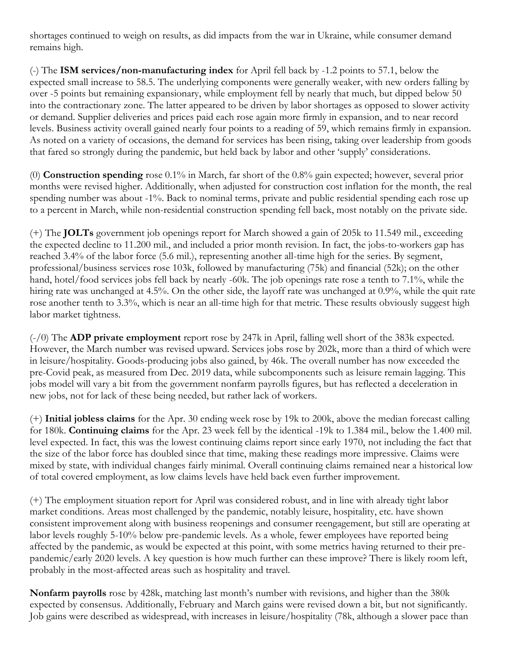shortages continued to weigh on results, as did impacts from the war in Ukraine, while consumer demand remains high.

(-) The **ISM services/non-manufacturing index** for April fell back by -1.2 points to 57.1, below the expected small increase to 58.5. The underlying components were generally weaker, with new orders falling by over -5 points but remaining expansionary, while employment fell by nearly that much, but dipped below 50 into the contractionary zone. The latter appeared to be driven by labor shortages as opposed to slower activity or demand. Supplier deliveries and prices paid each rose again more firmly in expansion, and to near record levels. Business activity overall gained nearly four points to a reading of 59, which remains firmly in expansion. As noted on a variety of occasions, the demand for services has been rising, taking over leadership from goods that fared so strongly during the pandemic, but held back by labor and other 'supply' considerations.

(0) **Construction spending** rose 0.1% in March, far short of the 0.8% gain expected; however, several prior months were revised higher. Additionally, when adjusted for construction cost inflation for the month, the real spending number was about -1%. Back to nominal terms, private and public residential spending each rose up to a percent in March, while non-residential construction spending fell back, most notably on the private side.

(+) The **JOLTs** government job openings report for March showed a gain of 205k to 11.549 mil., exceeding the expected decline to 11.200 mil., and included a prior month revision. In fact, the jobs-to-workers gap has reached 3.4% of the labor force (5.6 mil.), representing another all-time high for the series. By segment, professional/business services rose 103k, followed by manufacturing (75k) and financial (52k); on the other hand, hotel/food services jobs fell back by nearly -60k. The job openings rate rose a tenth to 7.1%, while the hiring rate was unchanged at 4.5%. On the other side, the layoff rate was unchanged at 0.9%, while the quit rate rose another tenth to 3.3%, which is near an all-time high for that metric. These results obviously suggest high labor market tightness.

(-/0) The **ADP private employment** report rose by 247k in April, falling well short of the 383k expected. However, the March number was revised upward. Services jobs rose by 202k, more than a third of which were in leisure/hospitality. Goods-producing jobs also gained, by 46k. The overall number has now exceeded the pre-Covid peak, as measured from Dec. 2019 data, while subcomponents such as leisure remain lagging. This jobs model will vary a bit from the government nonfarm payrolls figures, but has reflected a deceleration in new jobs, not for lack of these being needed, but rather lack of workers.

(+) **Initial jobless claims** for the Apr. 30 ending week rose by 19k to 200k, above the median forecast calling for 180k. **Continuing claims** for the Apr. 23 week fell by the identical -19k to 1.384 mil., below the 1.400 mil. level expected. In fact, this was the lowest continuing claims report since early 1970, not including the fact that the size of the labor force has doubled since that time, making these readings more impressive. Claims were mixed by state, with individual changes fairly minimal. Overall continuing claims remained near a historical low of total covered employment, as low claims levels have held back even further improvement.

(+) The employment situation report for April was considered robust, and in line with already tight labor market conditions. Areas most challenged by the pandemic, notably leisure, hospitality, etc. have shown consistent improvement along with business reopenings and consumer reengagement, but still are operating at labor levels roughly 5-10% below pre-pandemic levels. As a whole, fewer employees have reported being affected by the pandemic, as would be expected at this point, with some metrics having returned to their prepandemic/early 2020 levels. A key question is how much further can these improve? There is likely room left, probably in the most-affected areas such as hospitality and travel.

**Nonfarm payrolls** rose by 428k, matching last month's number with revisions, and higher than the 380k expected by consensus. Additionally, February and March gains were revised down a bit, but not significantly. Job gains were described as widespread, with increases in leisure/hospitality (78k, although a slower pace than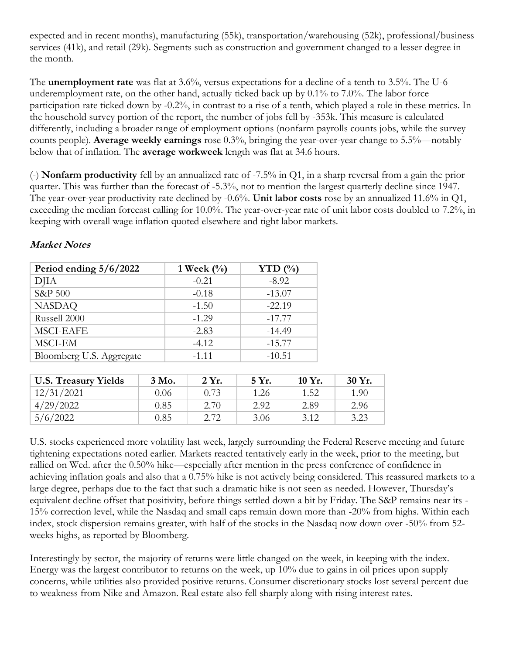expected and in recent months), manufacturing (55k), transportation/warehousing (52k), professional/business services (41k), and retail (29k). Segments such as construction and government changed to a lesser degree in the month.

The **unemployment rate** was flat at 3.6%, versus expectations for a decline of a tenth to 3.5%. The U-6 underemployment rate, on the other hand, actually ticked back up by 0.1% to 7.0%. The labor force participation rate ticked down by -0.2%, in contrast to a rise of a tenth, which played a role in these metrics. In the household survey portion of the report, the number of jobs fell by -353k. This measure is calculated differently, including a broader range of employment options (nonfarm payrolls counts jobs, while the survey counts people). **Average weekly earnings** rose 0.3%, bringing the year-over-year change to 5.5%—notably below that of inflation. The **average workweek** length was flat at 34.6 hours.

(-) **Nonfarm productivity** fell by an annualized rate of -7.5% in Q1, in a sharp reversal from a gain the prior quarter. This was further than the forecast of -5.3%, not to mention the largest quarterly decline since 1947. The year-over-year productivity rate declined by -0.6%. **Unit labor costs** rose by an annualized 11.6% in Q1, exceeding the median forecast calling for 10.0%. The year-over-year rate of unit labor costs doubled to 7.2%, in keeping with overall wage inflation quoted elsewhere and tight labor markets.

| Period ending $5/6/2022$ | 1 Week $(\%)$ | YTD $(\% )$ |
|--------------------------|---------------|-------------|
| DJIA                     | $-0.21$       | $-8.92$     |
| S&P 500                  | $-0.18$       | $-13.07$    |
| <b>NASDAQ</b>            | $-1.50$       | $-22.19$    |
| Russell 2000             | $-1.29$       | $-17.77$    |
| <b>MSCI-EAFE</b>         | $-2.83$       | $-14.49$    |
| MSCI-EM                  | $-4.12$       | $-15.77$    |
| Bloomberg U.S. Aggregate | $-1.11$       | $-10.51$    |

## **Market Notes**

| <b>U.S. Treasury Yields</b> | 3 Mo. | 2 Yr. | 5 Yr. | 10 Yr. | 30 Yr. |
|-----------------------------|-------|-------|-------|--------|--------|
| 12/31/2021                  | 0.06  | 0.73  | 1.26  | 1.52   | 1.90   |
| 4/29/2022                   | 0.85  | 2.70  | 2.92  | 2.89   | 2.96   |
| 5/6/2022                    | 0.85  | 2.72  | 3.06  | 3.12   | 3.23   |

U.S. stocks experienced more volatility last week, largely surrounding the Federal Reserve meeting and future tightening expectations noted earlier. Markets reacted tentatively early in the week, prior to the meeting, but rallied on Wed. after the 0.50% hike—especially after mention in the press conference of confidence in achieving inflation goals and also that a 0.75% hike is not actively being considered. This reassured markets to a large degree, perhaps due to the fact that such a dramatic hike is not seen as needed. However, Thursday's equivalent decline offset that positivity, before things settled down a bit by Friday. The S&P remains near its - 15% correction level, while the Nasdaq and small caps remain down more than -20% from highs. Within each index, stock dispersion remains greater, with half of the stocks in the Nasdaq now down over -50% from 52 weeks highs, as reported by Bloomberg.

Interestingly by sector, the majority of returns were little changed on the week, in keeping with the index. Energy was the largest contributor to returns on the week, up 10% due to gains in oil prices upon supply concerns, while utilities also provided positive returns. Consumer discretionary stocks lost several percent due to weakness from Nike and Amazon. Real estate also fell sharply along with rising interest rates.